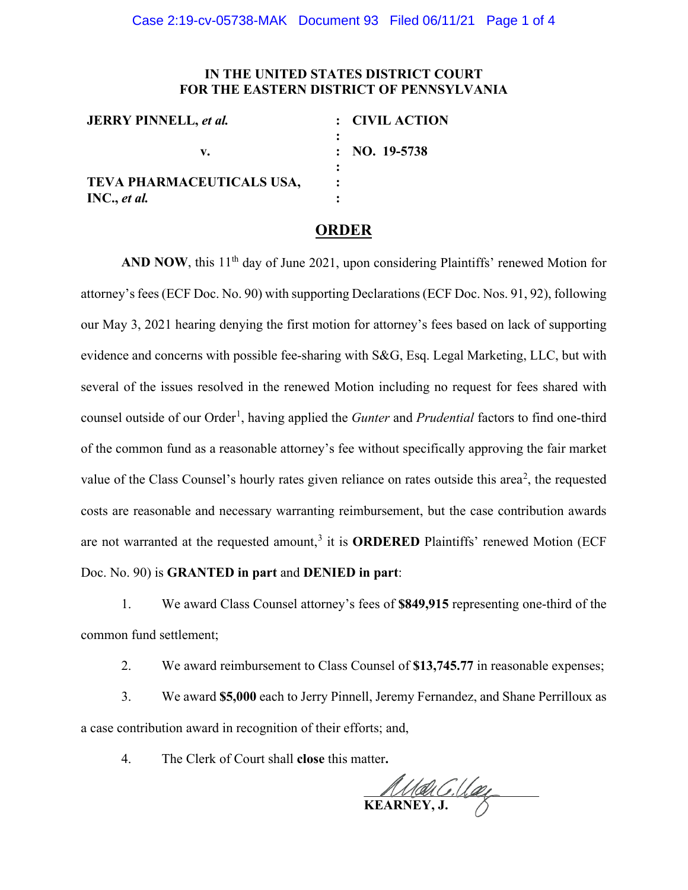## **IN THE UNITED STATES DISTRICT COURT FOR THE EASTERN DISTRICT OF PENNSYLVANIA**

| <b>JERRY PINNELL, et al.</b> | : CIVIL ACTION           |
|------------------------------|--------------------------|
| v.                           | $\therefore$ NO. 19-5738 |
|                              |                          |
| TEVA PHARMACEUTICALS USA,    |                          |
| INC., et al.                 |                          |

## **ORDER**

AND NOW, this 11<sup>th</sup> day of June 2021, upon considering Plaintiffs' renewed Motion for attorney's fees (ECF Doc. No. 90) with supporting Declarations (ECF Doc. Nos. 91, 92), following our May 3, 2021 hearing denying the first motion for attorney's fees based on lack of supporting evidence and concerns with possible fee-sharing with S&G, Esq. Legal Marketing, LLC, but with several of the issues resolved in the renewed Motion including no request for fees shared with counsel outside of our Order<sup>[1](#page-1-0)</sup>, having applied the *Gunter* and *Prudential* factors to find one-third of the common fund as a reasonable attorney's fee without specifically approving the fair market value of the Class Counsel's hourly rates given reliance on rates outside this area<sup>[2](#page-1-1)</sup>, the requested costs are reasonable and necessary warranting reimbursement, but the case contribution awards are not warranted at the requested amount,<sup>[3](#page-2-0)</sup> it is **ORDERED** Plaintiffs' renewed Motion (ECF Doc. No. 90) is **GRANTED in part** and **DENIED in part**:

1. We award Class Counsel attorney's fees of **\$849,915** representing one-third of the common fund settlement;

2. We award reimbursement to Class Counsel of **\$13,745.77** in reasonable expenses;

3. We award **\$5,000** each to Jerry Pinnell, Jeremy Fernandez, and Shane Perrilloux as a case contribution award in recognition of their efforts; and,

4. The Clerk of Court shall **close** this matter**.**

 $MMAUCI. U. QCI$ **KEARNEY, J.**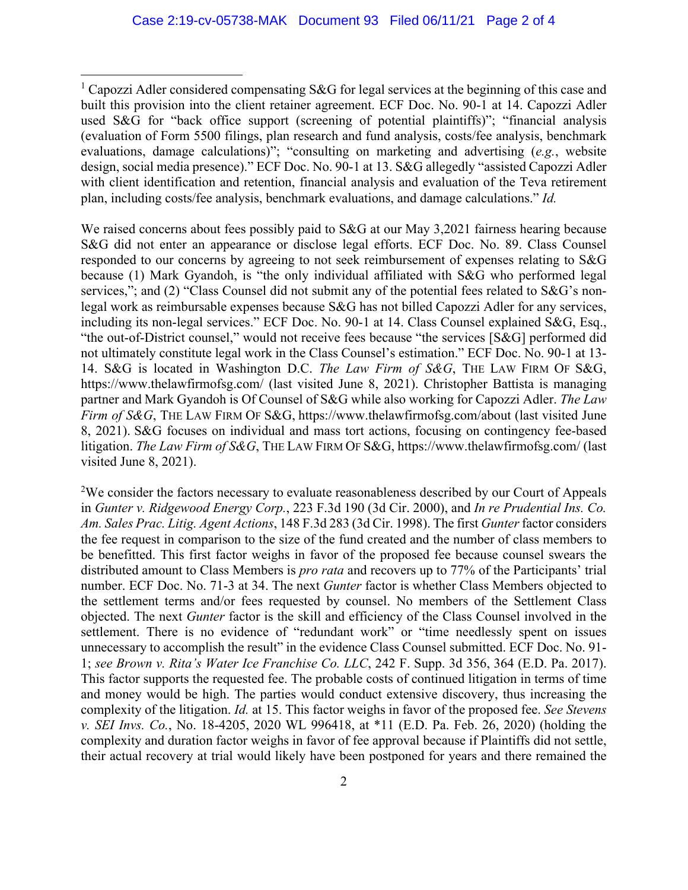We raised concerns about fees possibly paid to S&G at our May 3,2021 fairness hearing because S&G did not enter an appearance or disclose legal efforts. ECF Doc. No. 89. Class Counsel responded to our concerns by agreeing to not seek reimbursement of expenses relating to S&G because (1) Mark Gyandoh, is "the only individual affiliated with S&G who performed legal services,"; and (2) "Class Counsel did not submit any of the potential fees related to S&G's nonlegal work as reimbursable expenses because S&G has not billed Capozzi Adler for any services, including its non-legal services." ECF Doc. No. 90-1 at 14. Class Counsel explained S&G, Esq., "the out-of-District counsel," would not receive fees because "the services [S&G] performed did not ultimately constitute legal work in the Class Counsel's estimation." ECF Doc. No. 90-1 at 13- 14. S&G is located in Washington D.C. *The Law Firm of S&G*, THE LAW FIRM OF S&G, https://www.thelawfirmofsg.com/ (last visited June 8, 2021). Christopher Battista is managing partner and Mark Gyandoh is Of Counsel of S&G while also working for Capozzi Adler. *The Law Firm of S&G*, THE LAW FIRM OF S&G, https://www.thelawfirmofsg.com/about (last visited June 8, 2021). S&G focuses on individual and mass tort actions, focusing on contingency fee-based litigation. *The Law Firm of S&G*, THE LAW FIRM OF S&G, https://www.thelawfirmofsg.com/ (last visited June 8, 2021).

<span id="page-1-1"></span> $2$ We consider the factors necessary to evaluate reasonableness described by our Court of Appeals in *Gunter v. Ridgewood Energy Corp.*, 223 F.3d 190 (3d Cir. 2000), and *In re Prudential Ins. Co. Am. Sales Prac. Litig. Agent Actions*, 148 F.3d 283 (3d Cir. 1998). The first *Gunter*factor considers the fee request in comparison to the size of the fund created and the number of class members to be benefitted. This first factor weighs in favor of the proposed fee because counsel swears the distributed amount to Class Members is *pro rata* and recovers up to 77% of the Participants' trial number. ECF Doc. No. 71-3 at 34. The next *Gunter* factor is whether Class Members objected to the settlement terms and/or fees requested by counsel. No members of the Settlement Class objected. The next *Gunter* factor is the skill and efficiency of the Class Counsel involved in the settlement. There is no evidence of "redundant work" or "time needlessly spent on issues unnecessary to accomplish the result" in the evidence Class Counsel submitted. ECF Doc. No. 91- 1; *see Brown v. Rita's Water Ice Franchise Co. LLC*, 242 F. Supp. 3d 356, 364 (E.D. Pa. 2017). This factor supports the requested fee. The probable costs of continued litigation in terms of time and money would be high. The parties would conduct extensive discovery, thus increasing the complexity of the litigation. *Id.* at 15. This factor weighs in favor of the proposed fee. *See Stevens v. SEI Invs. Co.*, No. 18-4205, 2020 WL 996418, at \*11 (E.D. Pa. Feb. 26, 2020) (holding the complexity and duration factor weighs in favor of fee approval because if Plaintiffs did not settle, their actual recovery at trial would likely have been postponed for years and there remained the

<span id="page-1-0"></span><sup>&</sup>lt;sup>1</sup> Capozzi Adler considered compensating S&G for legal services at the beginning of this case and built this provision into the client retainer agreement. ECF Doc. No. 90-1 at 14. Capozzi Adler used S&G for "back office support (screening of potential plaintiffs)"; "financial analysis (evaluation of Form 5500 filings, plan research and fund analysis, costs/fee analysis, benchmark evaluations, damage calculations)"; "consulting on marketing and advertising (*e.g.*, website design, social media presence)." ECF Doc. No. 90-1 at 13. S&G allegedly "assisted Capozzi Adler with client identification and retention, financial analysis and evaluation of the Teva retirement plan, including costs/fee analysis, benchmark evaluations, and damage calculations." *Id.*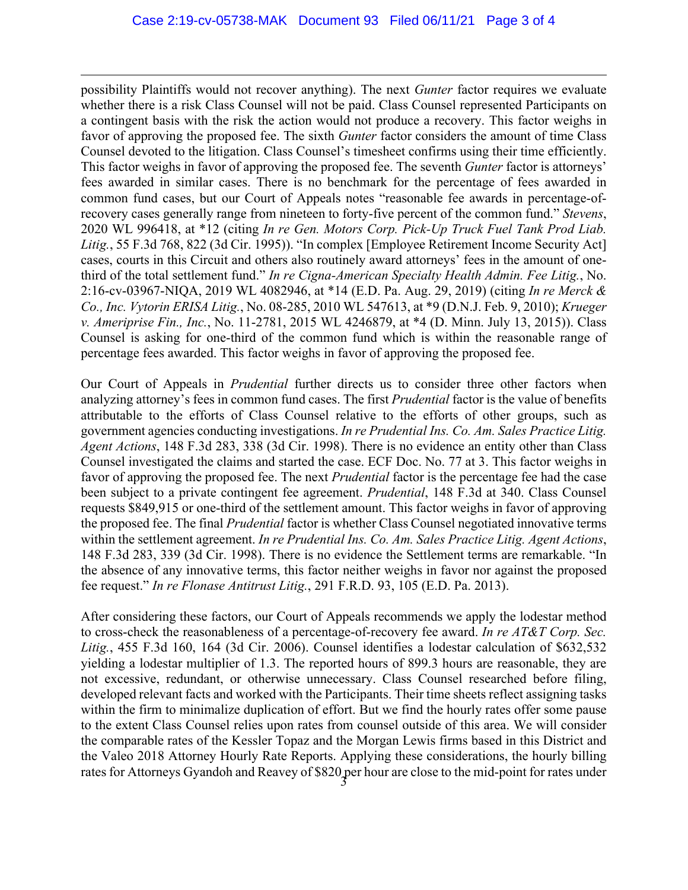possibility Plaintiffs would not recover anything). The next *Gunter* factor requires we evaluate whether there is a risk Class Counsel will not be paid. Class Counsel represented Participants on a contingent basis with the risk the action would not produce a recovery. This factor weighs in favor of approving the proposed fee. The sixth *Gunter* factor considers the amount of time Class Counsel devoted to the litigation. Class Counsel's timesheet confirms using their time efficiently. This factor weighs in favor of approving the proposed fee. The seventh *Gunter* factor is attorneys' fees awarded in similar cases. There is no benchmark for the percentage of fees awarded in common fund cases, but our Court of Appeals notes "reasonable fee awards in percentage-ofrecovery cases generally range from nineteen to forty-five percent of the common fund." *Stevens*, 2020 WL 996418, at \*12 (citing *In re Gen. Motors Corp. Pick-Up Truck Fuel Tank Prod Liab. Litig.*, 55 F.3d 768, 822 (3d Cir. 1995)). "In complex [Employee Retirement Income Security Act] cases, courts in this Circuit and others also routinely award attorneys' fees in the amount of onethird of the total settlement fund." *In re Cigna-American Specialty Health Admin. Fee Litig.*, No. 2:16-cv-03967-NIQA, 2019 WL 4082946, at \*14 (E.D. Pa. Aug. 29, 2019) (citing *In re Merck & Co., Inc. Vytorin ERISA Litig.*, No. 08-285, 2010 WL 547613, at \*9 (D.N.J. Feb. 9, 2010); *Krueger v. Ameriprise Fin., Inc.*, No. 11-2781, 2015 WL 4246879, at \*4 (D. Minn. July 13, 2015)). Class Counsel is asking for one-third of the common fund which is within the reasonable range of percentage fees awarded. This factor weighs in favor of approving the proposed fee.

<span id="page-2-0"></span>Our Court of Appeals in *Prudential* further directs us to consider three other factors when analyzing attorney's fees in common fund cases. The first *Prudential* factor is the value of benefits attributable to the efforts of Class Counsel relative to the efforts of other groups, such as government agencies conducting investigations. *In re Prudential Ins. Co. Am. Sales Practice Litig. Agent Actions*, 148 F.3d 283, 338 (3d Cir. 1998). There is no evidence an entity other than Class Counsel investigated the claims and started the case. ECF Doc. No. 77 at 3. This factor weighs in favor of approving the proposed fee. The next *Prudential* factor is the percentage fee had the case been subject to a private contingent fee agreement. *Prudential*, 148 F.3d at 340. Class Counsel requests \$849,915 or one-third of the settlement amount. This factor weighs in favor of approving the proposed fee. The final *Prudential* factor is whether Class Counsel negotiated innovative terms within the settlement agreement. *In re Prudential Ins. Co. Am. Sales Practice Litig. Agent Actions*, 148 F.3d 283, 339 (3d Cir. 1998). There is no evidence the Settlement terms are remarkable. "In the absence of any innovative terms, this factor neither weighs in favor nor against the proposed fee request." *In re Flonase Antitrust Litig.*, 291 F.R.D. 93, 105 (E.D. Pa. 2013).

After considering these factors, our Court of Appeals recommends we apply the lodestar method to cross-check the reasonableness of a percentage-of-recovery fee award. *In re AT&T Corp. Sec. Litig.*, 455 F.3d 160, 164 (3d Cir. 2006). Counsel identifies a lodestar calculation of \$632,532 yielding a lodestar multiplier of 1.3. The reported hours of 899.3 hours are reasonable, they are not excessive, redundant, or otherwise unnecessary. Class Counsel researched before filing, developed relevant facts and worked with the Participants. Their time sheets reflect assigning tasks within the firm to minimalize duplication of effort. But we find the hourly rates offer some pause to the extent Class Counsel relies upon rates from counsel outside of this area. We will consider the comparable rates of the Kessler Topaz and the Morgan Lewis firms based in this District and the Valeo 2018 Attorney Hourly Rate Reports. Applying these considerations, the hourly billing rates for Attorneys Gyandoh and Reavey of \$820 per hour are close to the mid-point for rates under